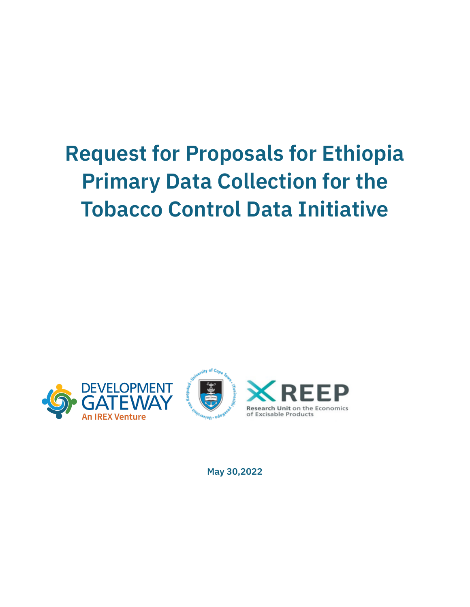# **Request for Proposals for Ethiopia Primary Data Collection for the Tobacco Control Data Initiative**



**May 30,2022**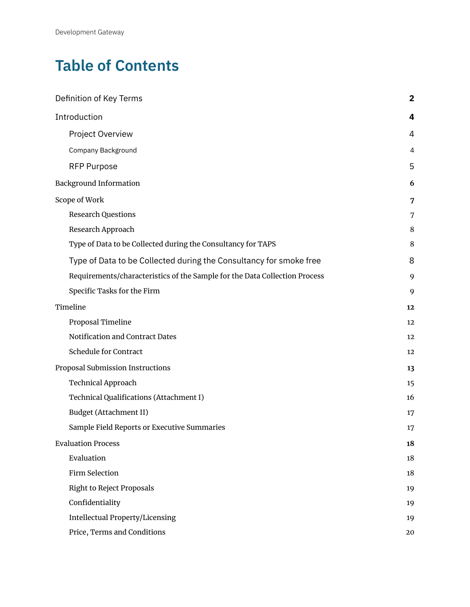# **Table of Contents**

| Definition of Key Terms                                                    | $\overline{\mathbf{2}}$ |
|----------------------------------------------------------------------------|-------------------------|
| Introduction                                                               | 4                       |
| Project Overview                                                           | 4                       |
| Company Background                                                         | 4                       |
| <b>RFP Purpose</b>                                                         | 5                       |
| <b>Background Information</b>                                              | 6                       |
| Scope of Work                                                              | 7                       |
| <b>Research Questions</b>                                                  | 7                       |
| Research Approach                                                          | 8                       |
| Type of Data to be Collected during the Consultancy for TAPS               | 8                       |
| Type of Data to be Collected during the Consultancy for smoke free         | 8                       |
| Requirements/characteristics of the Sample for the Data Collection Process | 9                       |
| Specific Tasks for the Firm                                                | 9                       |
| Timeline                                                                   | 12                      |
| Proposal Timeline                                                          | 12                      |
| <b>Notification and Contract Dates</b>                                     | 12                      |
| <b>Schedule for Contract</b>                                               | 12                      |
| Proposal Submission Instructions                                           | 13                      |
| Technical Approach                                                         | 15                      |
| Technical Qualifications (Attachment I)                                    | 16                      |
| Budget (Attachment II)                                                     | 17                      |
| Sample Field Reports or Executive Summaries                                | 17                      |
| <b>Evaluation Process</b>                                                  | 18                      |
| Evaluation                                                                 | 18                      |
| Firm Selection                                                             | 18                      |
| <b>Right to Reject Proposals</b>                                           | 19                      |
| Confidentiality                                                            | 19                      |
| <b>Intellectual Property/Licensing</b>                                     | 19                      |
| Price, Terms and Conditions                                                | 20                      |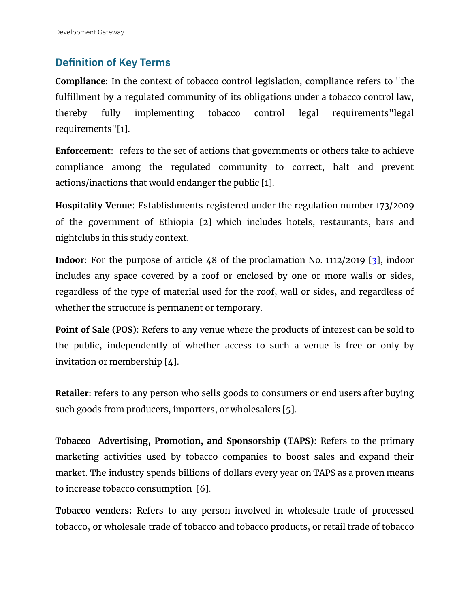# <span id="page-2-0"></span>**Definition of Key Terms**

**Compliance**: In the context of tobacco control legislation, compliance refers to "the fulfillment by a regulated community of its obligations under a tobacco control law, thereby fully implementing tobacco control legal requirements"legal requirements"[1].

**Enforcement**: refers to the set of actions that governments or others take to achieve compliance among the regulated community to correct, halt and prevent actions/inactions that would endanger the public [1].

**Hospitality Venue**: Establishments registered under the regulation number 173/2009 of the government of Ethiopia [2] which includes hotels, restaurants, bars and nightclubs in this study context.

**Indoor**: For the purpose of article 48 of the proclamation No. 1112/2019 [3], indoor includes any space covered by a roof or enclosed by one or more walls or sides, regardless of the type of material used for the roof, wall or sides, and regardless of whether the structure is permanent or temporary.

**Point of Sale (POS)**: Refers to any venue where the products of interest can be sold to the public, independently of whether access to such a venue is free or only by invitation or membership [4].

**Retailer**: refers to any person who sells goods to consumers or end users after buying such goods from producers, importers, or wholesalers [5].

**Tobacco Advertising, Promotion, and Sponsorship (TAPS)**: Refers to the primary marketing activities used by tobacco companies to boost sales and expand their market. The industry spends billions of dollars every year on TAPS as a proven means to increase tobacco consumption [6].

**Tobacco venders:** Refers to any person involved in wholesale trade of processed tobacco, or wholesale trade of tobacco and tobacco products, or retail trade of tobacco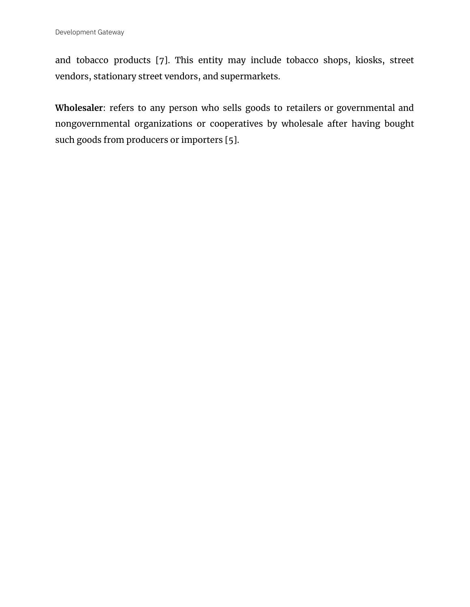and tobacco products [7]. This entity may include tobacco shops, kiosks, street vendors, stationary street vendors, and supermarkets.

**Wholesaler**: refers to any person who sells goods to retailers or governmental and nongovernmental organizations or cooperatives by wholesale after having bought such goods from producers or importers [5].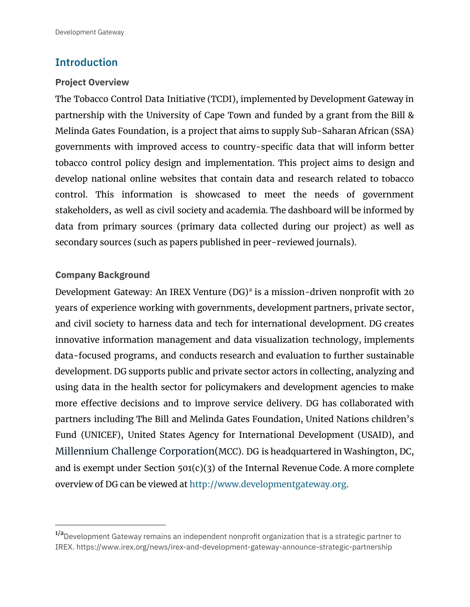# <span id="page-4-0"></span>**Introduction**

#### <span id="page-4-1"></span>**Project Overview**

The Tobacco Control Data Initiative (TCDI), implemented by Development Gateway in partnership with the University of Cape Town and funded by a grant from the Bill & Melinda Gates Foundation, is a project that aims to supply Sub-Saharan African (SSA) governments with improved access to country-specific data that will inform better tobacco control policy design and implementation. This project aims to design and develop national online websites that contain data and research related to tobacco control. This information is showcased to meet the needs of government stakeholders, as well as civil society and academia. The dashboard will be informed by data from primary sources (primary data collected during our project) as well as secondary sources (such as papers published in peer-reviewed journals).

#### <span id="page-4-2"></span>**Company Background**

Development Gateway: An IREX Venture (DG)<sup>a</sup> is a mission-driven nonprofit with 20 years of experience working with governments, development partners, private sector, and civil society to harness data and tech for international development. DG creates innovative information management and data visualization technology, implements data-focused programs, and conducts research and evaluation to further sustainable development. DG supports public and private sector actors in collecting, analyzing and using data in the health sector for policymakers and development agencies to make more effective decisions and to improve service delivery. DG has collaborated with partners including The Bill and Melinda Gates Foundation, United Nations children's Fund (UNICEF), United States Agency for International Development (USAID), and Millennium Challenge Corporation(MCC). DG is headquartered in Washington, DC, and is exempt under Section  $501(c)(3)$  of the Internal Revenue Code. A more complete overview of DG can be viewed at <http://www.developmentgateway.org>.

 $1/a$ Development Gateway remains an independent nonprofit organization that is a strategic partner to IREX. https://www.irex.org/news/irex-and-development-gateway-announce-strategic-partnership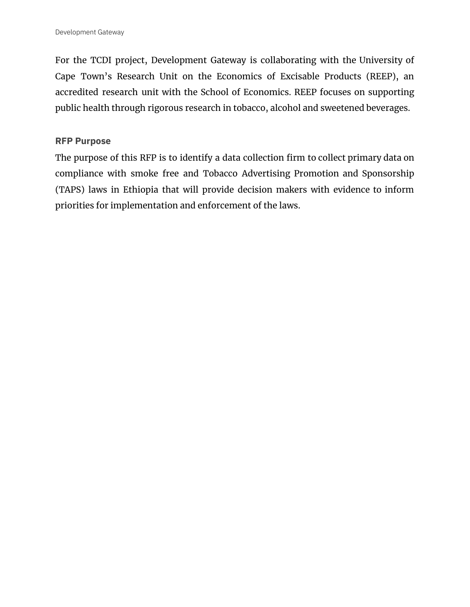For the TCDI project, Development Gateway is collaborating with the University of Cape Town's Research Unit on the Economics of Excisable Products (REEP), an accredited research unit with the School of Economics. REEP focuses on supporting public health through rigorous research in tobacco, alcohol and sweetened beverages.

#### <span id="page-5-0"></span>**RFP Purpose**

The purpose of this RFP is to identify a data collection firm to collect primary data on compliance with smoke free and Tobacco Advertising Promotion and Sponsorship (TAPS) laws in Ethiopia that will provide decision makers with evidence to inform priorities for implementation and enforcement of the laws.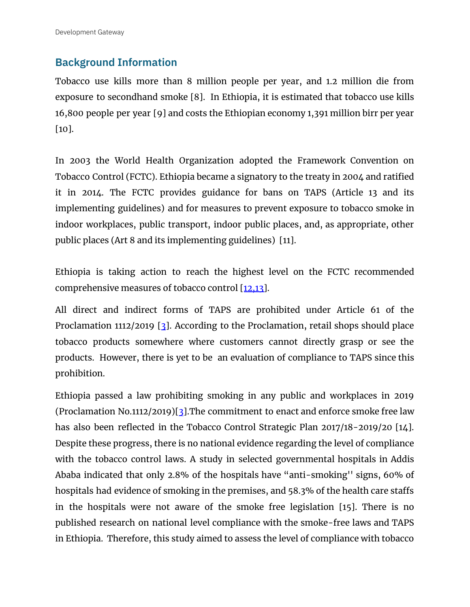# <span id="page-6-0"></span>**Background Information**

Tobacco use kills more than 8 million people per year, and 1.2 million die from exposure to secondhand smoke [8]. In Ethiopia, it is estimated that tobacco use kills 16,800 people per year [9] and costs the Ethiopian economy 1,391 million birr per year [10].

In 2003 the World Health Organization adopted the Framework Convention on Tobacco Control (FCTC). Ethiopia became a signatory to the treaty in 2004 and ratified it in 2014. The FCTC provides guidance for bans on TAPS (Article 13 and its implementing guidelines) and for measures to prevent exposure to tobacco smoke in indoor workplaces, public transport, indoor public places, and, as appropriate, other public places (Art 8 and its implementing guidelines) [11].

Ethiopia is taking action to reach the highest level on the FCTC recommended comprehensive measures of tobacco control [12,13].

All direct and indirect forms of TAPS are prohibited under Article 61 of the Proclamation 1112/2019 [3]. According to the Proclamation, retail shops should place tobacco products somewhere where customers cannot directly grasp or see the products. However, there is yet to be an evaluation of compliance to TAPS since this prohibition.

Ethiopia passed a law prohibiting smoking in any public and workplaces in 2019 (Proclamation No.1112/2019)[3].The commitment to enact and enforce smoke free law has also been reflected in the Tobacco Control Strategic Plan 2017/18-2019/20 [14]. Despite these progress, there is no national evidence regarding the level of compliance with the tobacco control laws. A study in selected governmental hospitals in Addis Ababa indicated that only 2.8% of the hospitals have "anti-smoking'' signs, 60% of hospitals had evidence of smoking in the premises, and 58.3% of the health care staffs in the hospitals were not aware of the smoke free legislation [15]. There is no published research on national level compliance with the smoke-free laws and TAPS in Ethiopia. Therefore, this study aimed to assess the level of compliance with tobacco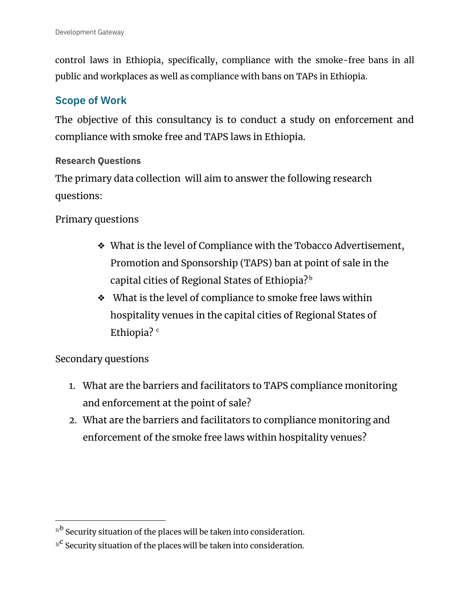control laws in Ethiopia, specifically, compliance with the smoke-free bans in all public and workplaces as well as compliance with bans on TAPs in Ethiopia.

## <span id="page-7-0"></span>**Scope of Work**

The objective of this consultancy is to conduct a study on enforcement and compliance with smoke free and TAPS laws in Ethiopia.

#### <span id="page-7-1"></span>**Research Questions**

The primary data collection will aim to answer the following research questions:

#### Primary questions

- ❖ What is the level of Compliance with the Tobacco Advertisement, Promotion and Sponsorship (TAPS) ban at point of sale in the capital cities of Regional States of Ethiopia? $^{\rm b}$
- ❖ What is the level of compliance to smoke free laws within hospitality venues in the capital cities of Regional States of Ethiopia?  $^{\circ}$

## Secondary questions

- 1. What are the barriers and facilitators to TAPS compliance monitoring and enforcement at the point of sale?
- 2. What are the barriers and facilitators to compliance monitoring and enforcement of the smoke free laws within hospitality venues?

 $2/b$  Security situation of the places will be taken into consideration.

 $^{3/^\mathbf{C}}$  Security situation of the places will be taken into consideration.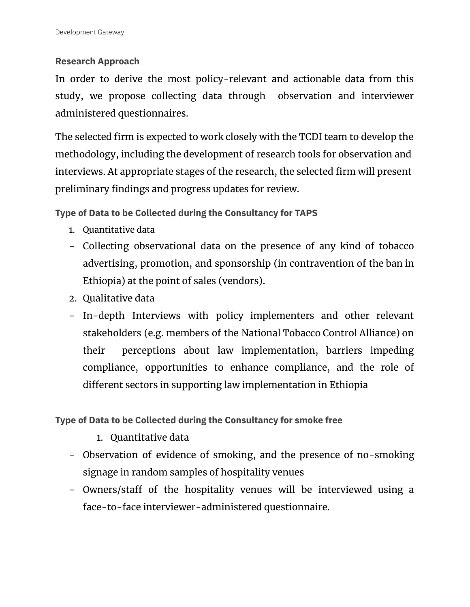#### <span id="page-8-0"></span>**Research Approach**

In order to derive the most policy-relevant and actionable data from this study, we propose collecting data through observation and interviewer administered questionnaires.

The selected firm is expected to work closely with the TCDI team to develop the methodology, including the development of research tools for observation and interviews. At appropriate stages of the research, the selected firm will present preliminary findings and progress updates for review.

<span id="page-8-1"></span>**Type of Data to be Collected during the Consultancy for TAPS**

- 1. Quantitative data
- Collecting observational data on the presence of any kind of tobacco advertising, promotion, and sponsorship (in contravention of the ban in Ethiopia) at the point of sales (vendors).
- 2. Qualitative data
- In-depth Interviews with policy implementers and other relevant stakeholders (e.g. members of the National Tobacco Control Alliance) on their perceptions about law implementation, barriers impeding compliance, opportunities to enhance compliance, and the role of different sectors in supporting law implementation in Ethiopia

<span id="page-8-2"></span>**Type of Data to be Collected during the Consultancy for smoke free**

- 1. Quantitative data
- Observation of evidence of smoking, and the presence of no-smoking signage in random samples of hospitality venues
- Owners/staff of the hospitality venues will be interviewed using a face-to-face interviewer-administered questionnaire.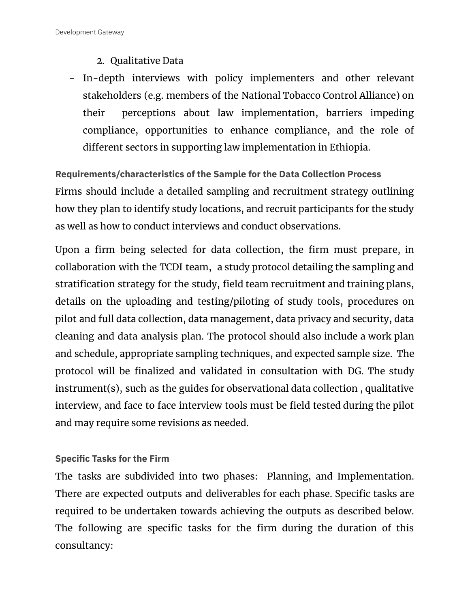# 2. Qualitative Data

- In-depth interviews with policy implementers and other relevant stakeholders (e.g. members of the National Tobacco Control Alliance) on their perceptions about law implementation, barriers impeding compliance, opportunities to enhance compliance, and the role of different sectors in supporting law implementation in Ethiopia.

<span id="page-9-0"></span>**Requirements/characteristics of the Sample for the Data Collection Process** Firms should include a detailed sampling and recruitment strategy outlining how they plan to identify study locations, and recruit participants for the study as well as how to conduct interviews and conduct observations.

Upon a firm being selected for data collection, the firm must prepare, in collaboration with the TCDI team, a study protocol detailing the sampling and stratification strategy for the study, field team recruitment and training plans, details on the uploading and testing/piloting of study tools, procedures on pilot and full data collection, data management, data privacy and security, data cleaning and data analysis plan. The protocol should also include a work plan and schedule, appropriate sampling techniques, and expected sample size. The protocol will be finalized and validated in consultation with DG. The study instrument(s), such as the guides for observational data collection , qualitative interview, and face to face interview tools must be field tested during the pilot and may require some revisions as needed.

## <span id="page-9-1"></span>**Specific Tasks for the Firm**

The tasks are subdivided into two phases: Planning, and Implementation. There are expected outputs and deliverables for each phase. Specific tasks are required to be undertaken towards achieving the outputs as described below. The following are specific tasks for the firm during the duration of this consultancy: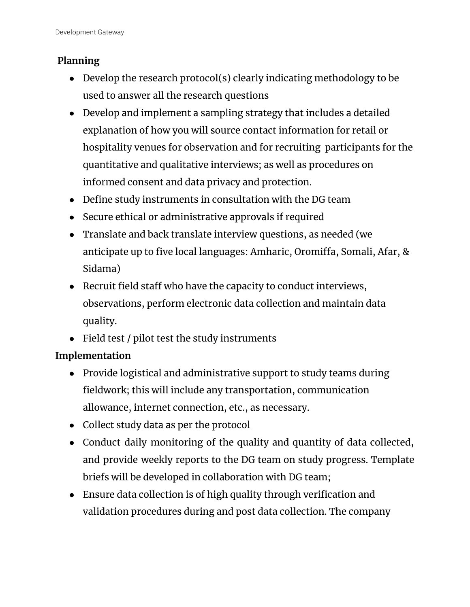# **Planning**

- Develop the research protocol(s) clearly indicating methodology to be used to answer all the research questions
- Develop and implement a sampling strategy that includes a detailed explanation of how you will source contact information for retail or hospitality venues for observation and for recruiting participants for the quantitative and qualitative interviews; as well as procedures on informed consent and data privacy and protection.
- Define study instruments in consultation with the DG team
- Secure ethical or administrative approvals if required
- Translate and back translate interview questions, as needed (we anticipate up to five local languages: Amharic, Oromiffa, Somali, Afar, & Sidama)
- Recruit field staff who have the capacity to conduct interviews, observations, perform electronic data collection and maintain data quality.
- Field test / pilot test the study instruments

# **Implementation**

- Provide logistical and administrative support to study teams during fieldwork; this will include any transportation, communication allowance, internet connection, etc., as necessary.
- Collect study data as per the protocol
- Conduct daily monitoring of the quality and quantity of data collected, and provide weekly reports to the DG team on study progress. Template briefs will be developed in collaboration with DG team;
- Ensure data collection is of high quality through verification and validation procedures during and post data collection. The company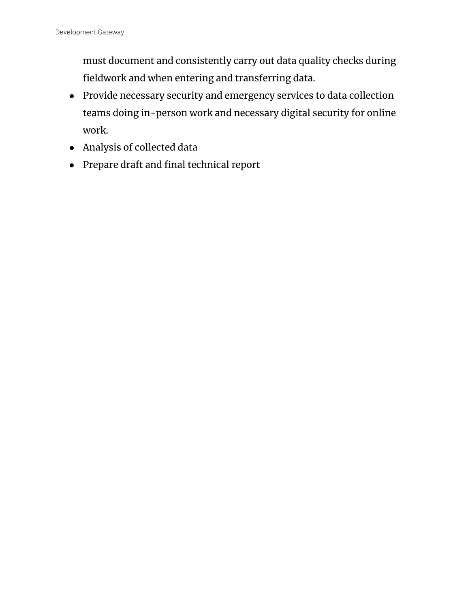must document and consistently carry out data quality checks during fieldwork and when entering and transferring data.

- Provide necessary security and emergency services to data collection teams doing in-person work and necessary digital security for online work.
- Analysis of collected data
- Prepare draft and final technical report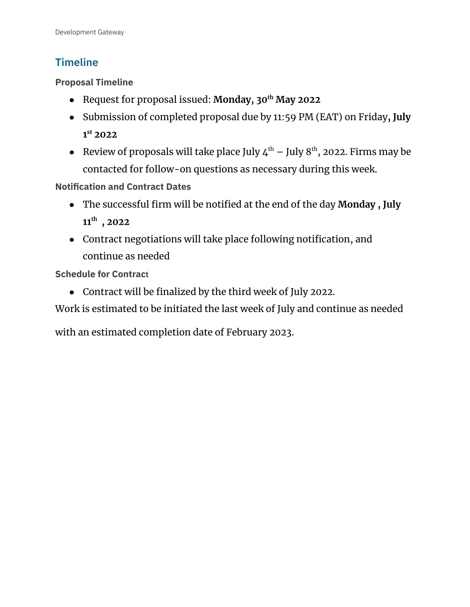# <span id="page-12-0"></span>**Timeline**

<span id="page-12-1"></span>**Proposal Timeline**

- Request for proposal issued: **Monday, 30 th May 2022**
- Submission of completed proposal due by 11:59 PM (EAT) on Friday**, July 1 st 2022**
- Review of proposals will take place July  $4^{\text{th}}$  July  $8^{\text{th}}$ , 2022. Firms may be contacted for follow-on questions as necessary during this week.

<span id="page-12-2"></span>**Notification and Contract Dates**

- The successful firm will be notified at the end of the day **Monday , July 11 th , 2022**
- Contract negotiations will take place following notification, and continue as needed

<span id="page-12-3"></span>**Schedule for Contract**

● Contract will be finalized by the third week of July 2022.

Work is estimated to be initiated the last week of July and continue as needed

with an estimated completion date of February 2023.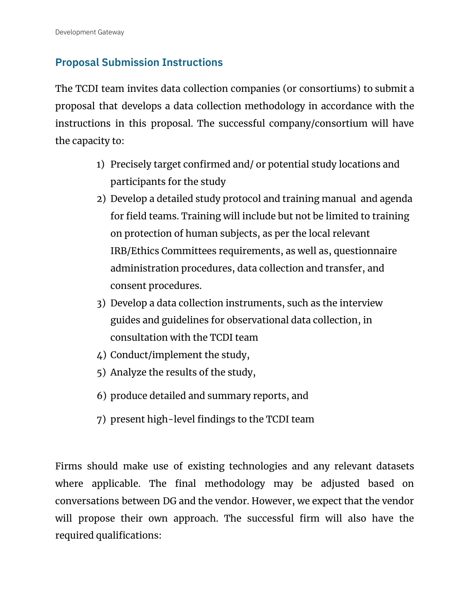# <span id="page-13-0"></span>**Proposal Submission Instructions**

The TCDI team invites data collection companies (or consortiums) to submit a proposal that develops a data collection methodology in accordance with the instructions in this proposal. The successful company/consortium will have the capacity to:

- 1) Precisely target confirmed and/ or potential study locations and participants for the study
- 2) Develop a detailed study protocol and training manual and agenda for field teams. Training will include but not be limited to training on protection of human subjects, as per the local relevant IRB/Ethics Committees requirements, as well as, questionnaire administration procedures, data collection and transfer, and consent procedures.
- 3) Develop a data collection instruments, such as the interview guides and guidelines for observational data collection, in consultation with the TCDI team
- 4) Conduct/implement the study,
- 5) Analyze the results of the study,
- 6) produce detailed and summary reports, and
- 7) present high-level findings to the TCDI team

Firms should make use of existing technologies and any relevant datasets where applicable. The final methodology may be adjusted based on conversations between DG and the vendor. However, we expect that the vendor will propose their own approach. The successful firm will also have the required qualifications: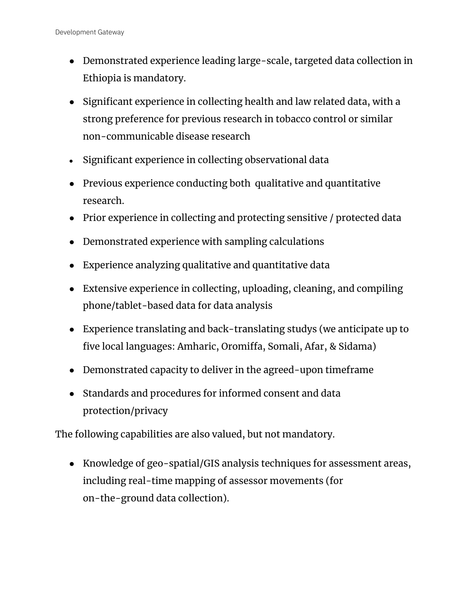- Demonstrated experience leading large-scale, targeted data collection in Ethiopia is mandatory.
- Significant experience in collecting health and law related data, with a strong preference for previous research in tobacco control or similar non-communicable disease research
- Significant experience in collecting observational data
- Previous experience conducting both qualitative and quantitative research.
- Prior experience in collecting and protecting sensitive / protected data
- Demonstrated experience with sampling calculations
- Experience analyzing qualitative and quantitative data
- Extensive experience in collecting, uploading, cleaning, and compiling phone/tablet-based data for data analysis
- Experience translating and back-translating studys (we anticipate up to five local languages: Amharic, Oromiffa, Somali, Afar, & Sidama)
- Demonstrated capacity to deliver in the agreed-upon timeframe
- Standards and procedures for informed consent and data protection/privacy

The following capabilities are also valued, but not mandatory.

● Knowledge of geo-spatial/GIS analysis techniques for assessment areas, including real-time mapping of assessor movements (for on-the-ground data collection).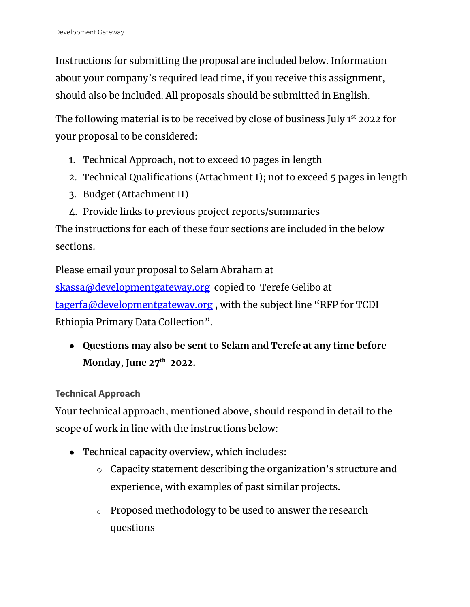Instructions for submitting the proposal are included below. Information about your company's required lead time, if you receive this assignment, should also be included. All proposals should be submitted in English.

The following material is to be received by close of business July 1<sup>st</sup> 2022 for your proposal to be considered:

- 1. Technical Approach, not to exceed 10 pages in length
- 2. Technical Qualifications (Attachment I); not to exceed 5 pages in length
- 3. Budget (Attachment II)
- 4. Provide links to previous project reports/summaries

The instructions for each of these four sections are included in the below sections.

Please email your proposal to Selam Abraham at

[skassa@developmentgateway.org](mailto:skassa@developmentgateway.org) copied to Terefe Gelibo at [tagerfa@developmentgateway.org](mailto:tagerfa@developmentgateway.org) , with the subject line "RFP for TCDI Ethiopia Primary Data Collection".

● **Questions may also be sent to Selam and Terefe at any time before Monday**, **June 27 th 2022.**

<span id="page-15-0"></span>**Technical Approach**

Your technical approach, mentioned above, should respond in detail to the scope of work in line with the instructions below:

- Technical capacity overview, which includes:
	- o Capacity statement describing the organization's structure and experience, with examples of past similar projects.
	- o Proposed methodology to be used to answer the research questions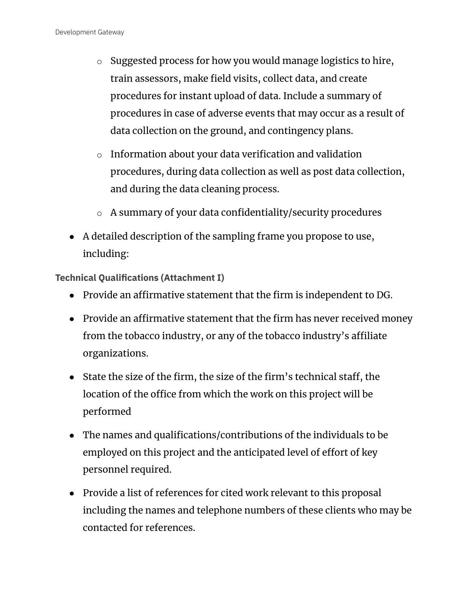- $\circ$  Suggested process for how you would manage logistics to hire, train assessors, make field visits, collect data, and create procedures for instant upload of data. Include a summary of procedures in case of adverse events that may occur as a result of data collection on the ground, and contingency plans.
- o Information about your data verification and validation procedures, during data collection as well as post data collection, and during the data cleaning process.
- o A summary of your data confidentiality/security procedures
- A detailed description of the sampling frame you propose to use, including:

<span id="page-16-0"></span>**Technical Qualifications (Attachment I)**

- Provide an affirmative statement that the firm is independent to DG.
- Provide an affirmative statement that the firm has never received money from the tobacco industry, or any of the tobacco industry's affiliate organizations.
- State the size of the firm, the size of the firm's technical staff, the location of the office from which the work on this project will be performed
- The names and qualifications/contributions of the individuals to be employed on this project and the anticipated level of effort of key personnel required.
- Provide a list of references for cited work relevant to this proposal including the names and telephone numbers of these clients who may be contacted for references.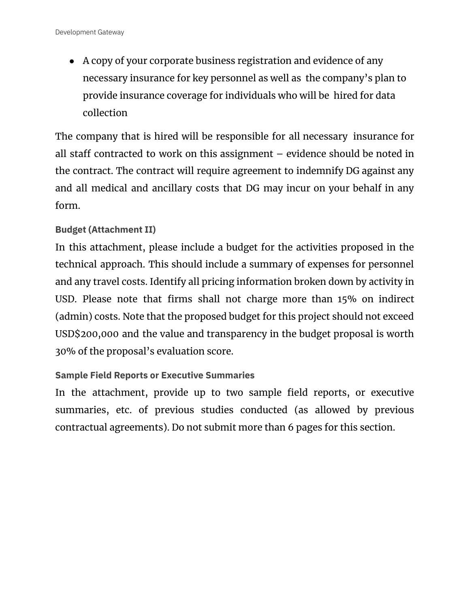• A copy of your corporate business registration and evidence of any necessary insurance for key personnel as well as the company's plan to provide insurance coverage for individuals who will be hired for data collection

The company that is hired will be responsible for all necessary insurance for all staff contracted to work on this assignment – evidence should be noted in the contract. The contract will require agreement to indemnify DG against any and all medical and ancillary costs that DG may incur on your behalf in any form.

#### <span id="page-17-0"></span>**Budget (Attachment II)**

In this attachment, please include a budget for the activities proposed in the technical approach. This should include a summary of expenses for personnel and any travel costs. Identify all pricing information broken down by activity in USD. Please note that firms shall not charge more than 15% on indirect (admin) costs. Note that the proposed budget for this project should not exceed USD\$200,000 and the value and transparency in the budget proposal is worth 30% of the proposal's evaluation score.

#### <span id="page-17-1"></span>**Sample Field Reports or Executive Summaries**

In the attachment, provide up to two sample field reports, or executive summaries, etc. of previous studies conducted (as allowed by previous contractual agreements). Do not submit more than 6 pages for this section.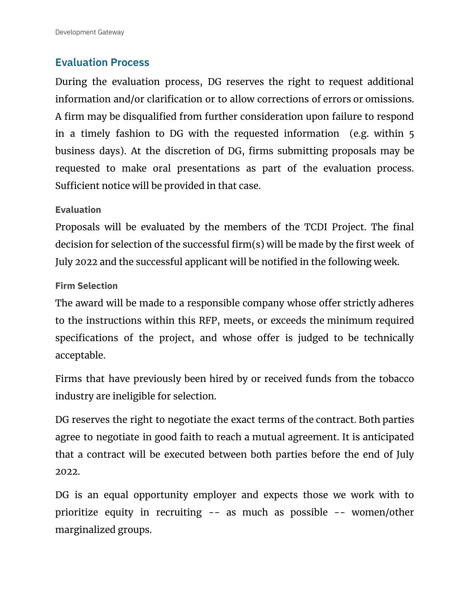# <span id="page-18-0"></span>**Evaluation Process**

During the evaluation process, DG reserves the right to request additional information and/or clarification or to allow corrections of errors or omissions. A firm may be disqualified from further consideration upon failure to respond in a timely fashion to DG with the requested information (e.g. within 5 business days). At the discretion of DG, firms submitting proposals may be requested to make oral presentations as part of the evaluation process. Sufficient notice will be provided in that case.

## <span id="page-18-1"></span>**Evaluation**

Proposals will be evaluated by the members of the TCDI Project. The final decision for selection of the successful firm(s) will be made by the first week of July 2022 and the successful applicant will be notified in the following week.

#### <span id="page-18-2"></span>**Firm Selection**

The award will be made to a responsible company whose offer strictly adheres to the instructions within this RFP, meets, or exceeds the minimum required specifications of the project, and whose offer is judged to be technically acceptable.

Firms that have previously been hired by or received funds from the tobacco industry are ineligible for selection.

DG reserves the right to negotiate the exact terms of the contract. Both parties agree to negotiate in good faith to reach a mutual agreement. It is anticipated that a contract will be executed between both parties before the end of July 2022.

DG is an equal opportunity employer and expects those we work with to prioritize equity in recruiting -- as much as possible -- women/other marginalized groups.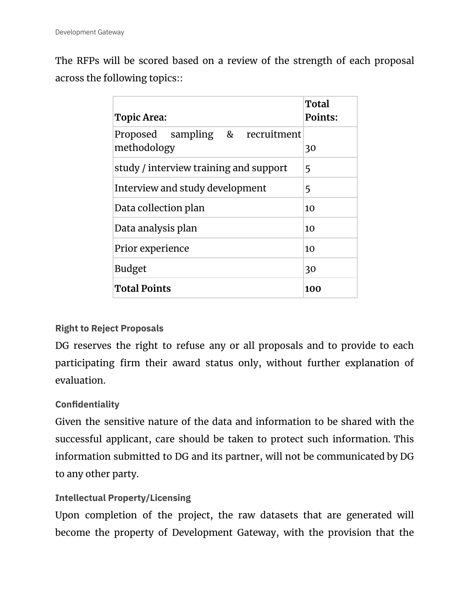The RFPs will be scored based on a review of the strength of each proposal across the following topics::

| <b>Topic Area:</b>                             | Total<br>Points: |
|------------------------------------------------|------------------|
| Proposed sampling & recruitment<br>methodology | 30               |
| study / interview training and support         | 5                |
| Interview and study development                | 5                |
| Data collection plan                           | 10               |
| Data analysis plan                             | 10               |
| Prior experience                               | 10               |
| <b>Budget</b>                                  | 30               |
| <b>Total Points</b>                            | 100              |

#### <span id="page-19-0"></span>**Right to Reject Proposals**

DG reserves the right to refuse any or all proposals and to provide to each participating firm their award status only, without further explanation of evaluation.

#### <span id="page-19-1"></span>**Confidentiality**

Given the sensitive nature of the data and information to be shared with the successful applicant, care should be taken to protect such information. This information submitted to DG and its partner, will not be communicated by DG to any other party.

#### <span id="page-19-2"></span>**Intellectual Property/Licensing**

Upon completion of the project, the raw datasets that are generated will become the property of Development Gateway, with the provision that the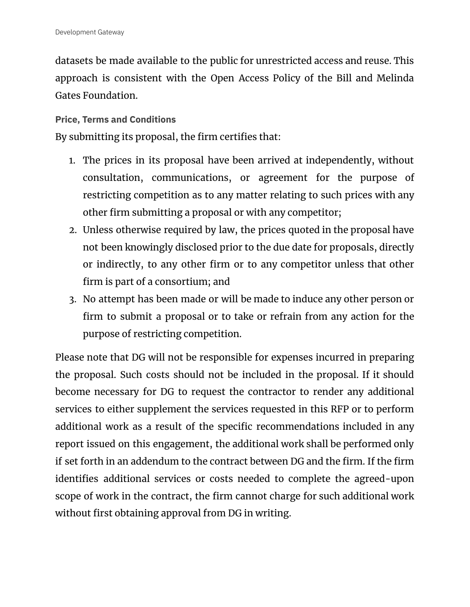datasets be made available to the public for unrestricted access and reuse. This approach is consistent with the Open Access Policy of the Bill and Melinda Gates Foundation.

#### <span id="page-20-0"></span>**Price, Terms and Conditions**

By submitting its proposal, the firm certifies that:

- 1. The prices in its proposal have been arrived at independently, without consultation, communications, or agreement for the purpose of restricting competition as to any matter relating to such prices with any other firm submitting a proposal or with any competitor;
- 2. Unless otherwise required by law, the prices quoted in the proposal have not been knowingly disclosed prior to the due date for proposals, directly or indirectly, to any other firm or to any competitor unless that other firm is part of a consortium; and
- 3. No attempt has been made or will be made to induce any other person or firm to submit a proposal or to take or refrain from any action for the purpose of restricting competition.

Please note that DG will not be responsible for expenses incurred in preparing the proposal. Such costs should not be included in the proposal. If it should become necessary for DG to request the contractor to render any additional services to either supplement the services requested in this RFP or to perform additional work as a result of the specific recommendations included in any report issued on this engagement, the additional work shall be performed only if set forth in an addendum to the contract between DG and the firm. If the firm identifies additional services or costs needed to complete the agreed-upon scope of work in the contract, the firm cannot charge for such additional work without first obtaining approval from DG in writing.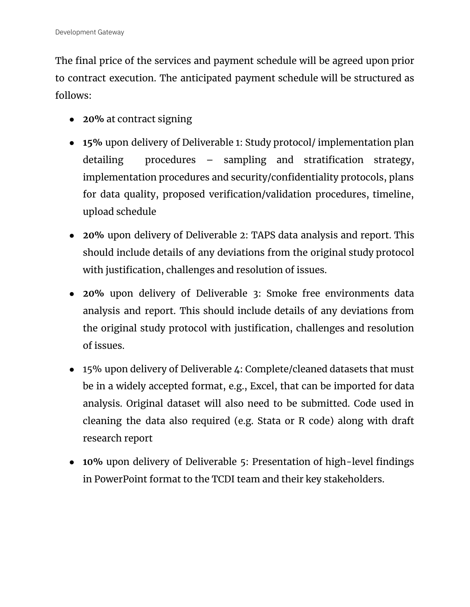The final price of the services and payment schedule will be agreed upon prior to contract execution. The anticipated payment schedule will be structured as follows:

- **20%** at contract signing
- **15%** upon delivery of Deliverable 1: Study protocol/ implementation plan detailing procedures – sampling and stratification strategy, implementation procedures and security/confidentiality protocols, plans for data quality, proposed verification/validation procedures, timeline, upload schedule
- **20%** upon delivery of Deliverable 2: TAPS data analysis and report. This should include details of any deviations from the original study protocol with justification, challenges and resolution of issues.
- **20%** upon delivery of Deliverable 3: Smoke free environments data analysis and report. This should include details of any deviations from the original study protocol with justification, challenges and resolution of issues.
- 15% upon delivery of Deliverable 4: Complete/cleaned datasets that must be in a widely accepted format, e.g., Excel, that can be imported for data analysis. Original dataset will also need to be submitted. Code used in cleaning the data also required (e.g. Stata or R code) along with draft research report
- **10%** upon delivery of Deliverable 5: Presentation of high-level findings in PowerPoint format to the TCDI team and their key stakeholders.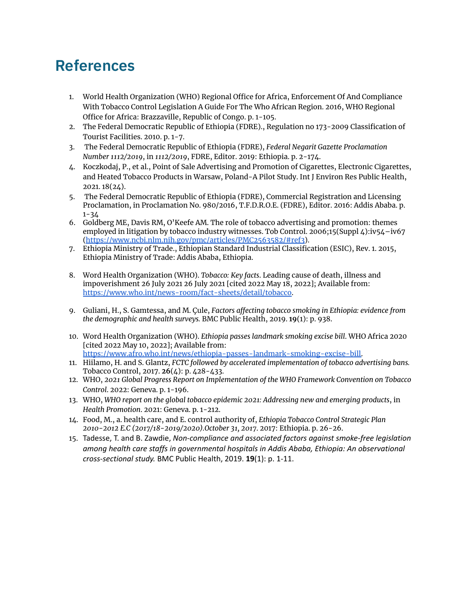# **References**

- 1. World Health Organization (WHO) Regional Office for Africa, Enforcement Of And Compliance With Tobacco Control Legislation A Guide For The Who African Region. 2016, WHO Regional Office for Africa: Brazzaville, Republic of Congo. p. 1-105.
- 2. The Federal Democratic Republic of Ethiopia (FDRE)., Regulation no 173-2009 Classification of Tourist Facilities. 2010. p. 1-7.
- 3. The Federal Democratic Republic of Ethiopia (FDRE), *Federal Negarit Gazette Proclamation Number 1112/2019*, in *1112/2019*, FDRE, Editor. 2019: Ethiopia. p. 2-174.
- 4. Koczkodaj, P., et al., Point of Sale Advertising and Promotion of Cigarettes, Electronic Cigarettes, and Heated Tobacco Products in Warsaw, Poland-A Pilot Study. Int J Environ Res Public Health, 2021. 18(24).
- 5. The Federal Democratic Republic of Ethiopia (FDRE), Commercial Registration and Licensing Proclamation, in Proclamation No. 980/2016, T.F.D.R.O.E. (FDRE), Editor. 2016: Addis Ababa. p. 1-34
- 6. Goldberg ME, Davis RM, O'Keefe AM. The role of tobacco advertising and promotion: themes employed in litigation by tobacco industry witnesses. Tob Control. 2006;15(Suppl 4):iv54–iv67 (<https://www.ncbi.nlm.nih.gov/pmc/articles/PMC2563582/#ref3>).
- 7. Ethiopia Ministry of Trade., Ethiopian Standard Industrial Classification (ESIC), Rev. 1. 2015, Ethiopia Ministry of Trade: Addis Ababa, Ethiopia.
- 8. Word Health Organization (WHO). *Tobacco: Key facts*. Leading cause of death, illness and impoverishment 26 July 2021 26 July 2021 [cited 2022 May 18, 2022]; Available from[:](https://www.who.int/news-room/fact-sheets/detail/tobacco) <https://www.who.int/news-room/fact-sheets/detail/tobacco>.
- 9. Guliani, H., S. Gamtessa, and M. Çule, *Factors affecting tobacco smoking in Ethiopia: evidence from the demographic and health surveys.* BMC Public Health, 2019. **19**(1): p. 938.
- 10. Word Health Organization (WHO). *Ethiopia passes landmark smoking excise bill*. WHO Africa 2020 [cited 2022 May 10, 2022]; Available from[:](https://www.afro.who.int/news/ethiopia-passes-landmark-smoking-excise-bill) [https://www.afro.who.int/news/ethiopia-passes-landmark-smoking-excise-bill.](https://www.afro.who.int/news/ethiopia-passes-landmark-smoking-excise-bill)
- 11. Hiilamo, H. and S. Glantz, *FCTC followed by accelerated implementation of tobacco advertising bans.* Tobacco Control, 2017. **26**(4): p. 428-433.
- 12. WHO, *2021 Global Progress Report on Implementation of the WHO Framework Convention on Tobacco Control*. 2022: Geneva. p. 1-196.
- 13. WHO, *WHO report on the global tobacco epidemic 2021: Addressing new and emerging products*, in *Health Promotion*. 2021: Geneva. p. 1-212.
- 14. Food, M., a. health care, and E. control authority of, *Ethiopia Tobacco Control Strategic Plan 2010-2012 E.C (2017/18-2019/2020).October 31, 2017*. 2017: Ethiopia. p. 26-26.
- 15. Tadesse, T. and B. Zawdie, *Non-compliance and associated factors against smoke-free legislation among health care staffs in governmental hospitals in Addis Ababa, Ethiopia: An observational cross-sectional study.* BMC Public Health, 2019. **19**(1): p. 1-11.